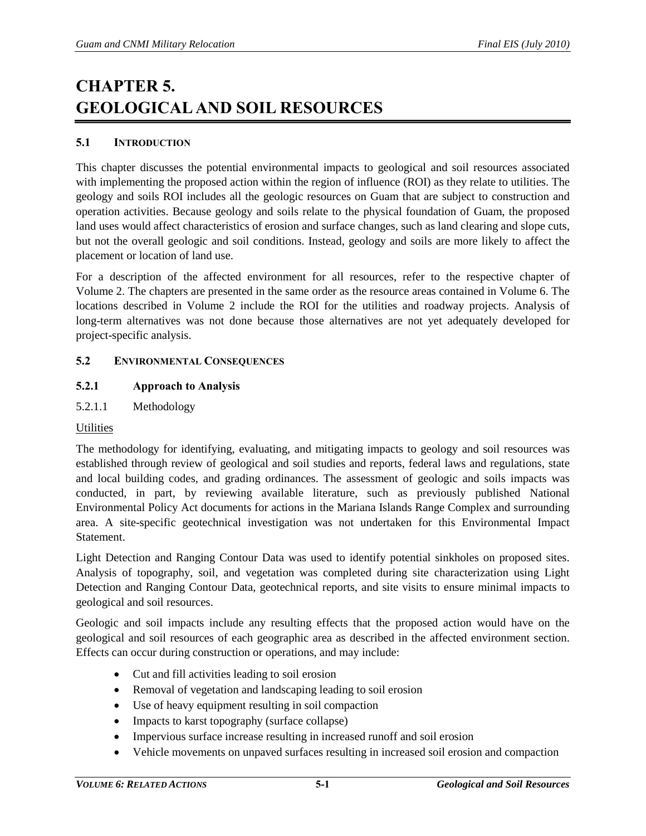# **CHAPTER 5. GEOLOGICAL AND SOIL RESOURCES**

# **5.1 INTRODUCTION**

This chapter discusses the potential environmental impacts to geological and soil resources associated with implementing the proposed action within the region of influence (ROI) as they relate to utilities. The geology and soils ROI includes all the geologic resources on Guam that are subject to construction and operation activities. Because geology and soils relate to the physical foundation of Guam, the proposed land uses would affect characteristics of erosion and surface changes, such as land clearing and slope cuts, but not the overall geologic and soil conditions. Instead, geology and soils are more likely to affect the placement or location of land use.

For a description of the affected environment for all resources, refer to the respective chapter of Volume 2. The chapters are presented in the same order as the resource areas contained in Volume 6. The locations described in Volume 2 include the ROI for the utilities and roadway projects. Analysis of long-term alternatives was not done because those alternatives are not yet adequately developed for project-specific analysis.

## **5.2 ENVIRONMENTAL CONSEQUENCES**

# **5.2.1 Approach to Analysis**

5.2.1.1 Methodology

## **Utilities**

The methodology for identifying, evaluating, and mitigating impacts to geology and soil resources was established through review of geological and soil studies and reports, federal laws and regulations, state and local building codes, and grading ordinances. The assessment of geologic and soils impacts was conducted, in part, by reviewing available literature, such as previously published National Environmental Policy Act documents for actions in the Mariana Islands Range Complex and surrounding area. A site-specific geotechnical investigation was not undertaken for this Environmental Impact Statement.

Light Detection and Ranging Contour Data was used to identify potential sinkholes on proposed sites. Analysis of topography, soil, and vegetation was completed during site characterization using Light Detection and Ranging Contour Data, geotechnical reports, and site visits to ensure minimal impacts to geological and soil resources.

Geologic and soil impacts include any resulting effects that the proposed action would have on the geological and soil resources of each geographic area as described in the affected environment section. Effects can occur during construction or operations, and may include:

- Cut and fill activities leading to soil erosion
- Removal of vegetation and landscaping leading to soil erosion
- Use of heavy equipment resulting in soil compaction
- Impacts to karst topography (surface collapse)
- Impervious surface increase resulting in increased runoff and soil erosion
- Vehicle movements on unpaved surfaces resulting in increased soil erosion and compaction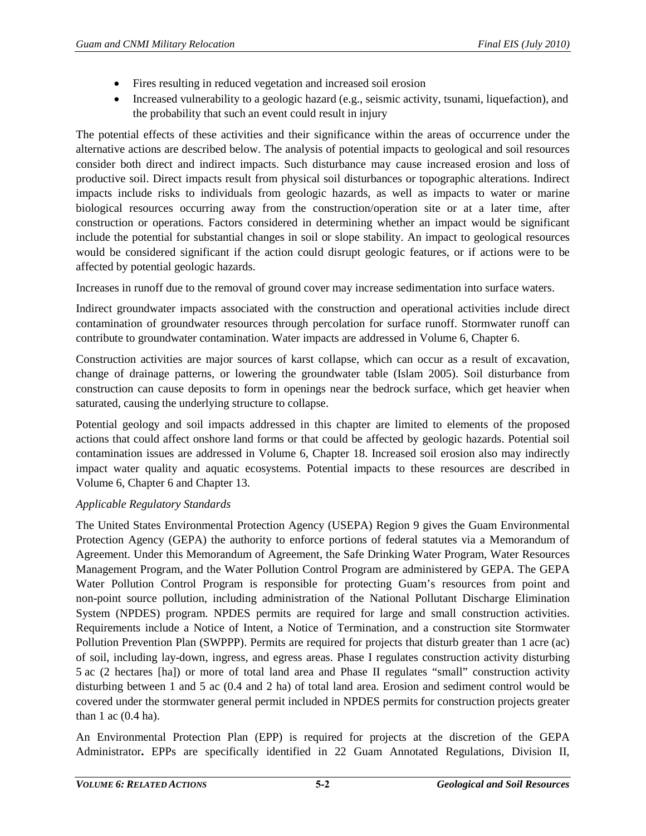- Fires resulting in reduced vegetation and increased soil erosion
- Increased vulnerability to a geologic hazard (e.g., seismic activity, tsunami, liquefaction), and the probability that such an event could result in injury

The potential effects of these activities and their significance within the areas of occurrence under the alternative actions are described below. The analysis of potential impacts to geological and soil resources consider both direct and indirect impacts. Such disturbance may cause increased erosion and loss of productive soil. Direct impacts result from physical soil disturbances or topographic alterations. Indirect impacts include risks to individuals from geologic hazards, as well as impacts to water or marine biological resources occurring away from the construction/operation site or at a later time, after construction or operations. Factors considered in determining whether an impact would be significant include the potential for substantial changes in soil or slope stability. An impact to geological resources would be considered significant if the action could disrupt geologic features, or if actions were to be affected by potential geologic hazards.

Increases in runoff due to the removal of ground cover may increase sedimentation into surface waters.

Indirect groundwater impacts associated with the construction and operational activities include direct contamination of groundwater resources through percolation for surface runoff. Stormwater runoff can contribute to groundwater contamination. Water impacts are addressed in Volume 6, Chapter 6.

Construction activities are major sources of karst collapse, which can occur as a result of excavation, change of drainage patterns, or lowering the groundwater table (Islam 2005). Soil disturbance from construction can cause deposits to form in openings near the bedrock surface, which get heavier when saturated, causing the underlying structure to collapse.

Potential geology and soil impacts addressed in this chapter are limited to elements of the proposed actions that could affect onshore land forms or that could be affected by geologic hazards. Potential soil contamination issues are addressed in Volume 6, Chapter 18. Increased soil erosion also may indirectly impact water quality and aquatic ecosystems. Potential impacts to these resources are described in Volume 6, Chapter 6 and Chapter 13.

## *Applicable Regulatory Standards*

The United States Environmental Protection Agency (USEPA) Region 9 gives the Guam Environmental Protection Agency (GEPA) the authority to enforce portions of federal statutes via a Memorandum of Agreement. Under this Memorandum of Agreement, the Safe Drinking Water Program, Water Resources Management Program, and the Water Pollution Control Program are administered by GEPA. The GEPA Water Pollution Control Program is responsible for protecting Guam's resources from point and non-point source pollution, including administration of the National Pollutant Discharge Elimination System (NPDES) program. NPDES permits are required for large and small construction activities. Requirements include a Notice of Intent, a Notice of Termination, and a construction site Stormwater Pollution Prevention Plan (SWPPP). Permits are required for projects that disturb greater than 1 acre (ac) of soil, including lay-down, ingress, and egress areas. Phase I regulates construction activity disturbing 5 ac (2 hectares [ha]) or more of total land area and Phase II regulates "small" construction activity disturbing between 1 and 5 ac (0.4 and 2 ha) of total land area. Erosion and sediment control would be covered under the stormwater general permit included in NPDES permits for construction projects greater than 1 ac (0.4 ha).

An Environmental Protection Plan (EPP) is required for projects at the discretion of the GEPA Administrator**.** EPPs are specifically identified in 22 Guam Annotated Regulations, Division II,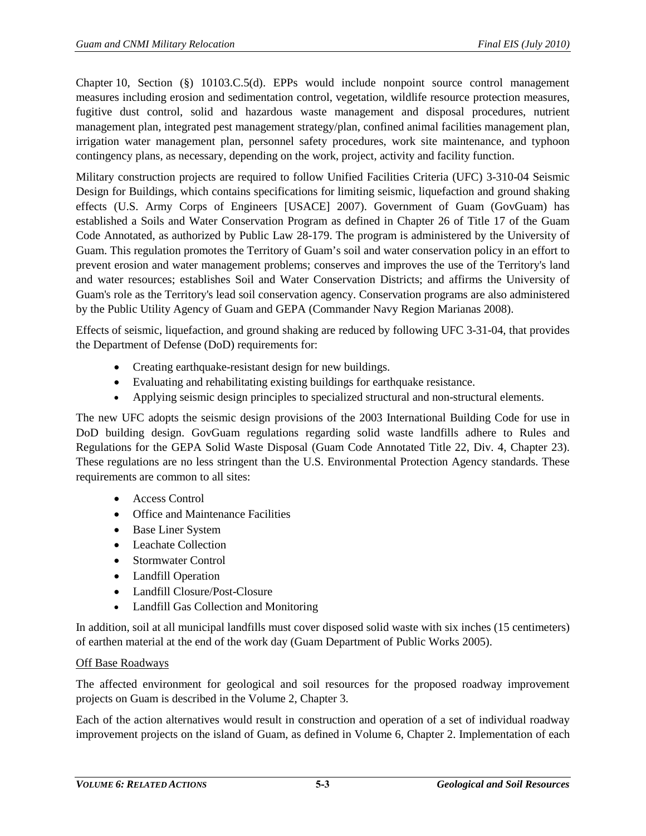Chapter 10, Section (§) 10103.C.5(d). EPPs would include nonpoint source control management measures including erosion and sedimentation control, vegetation, wildlife resource protection measures, fugitive dust control, solid and hazardous waste management and disposal procedures, nutrient management plan, integrated pest management strategy/plan, confined animal facilities management plan, irrigation water management plan, personnel safety procedures, work site maintenance, and typhoon contingency plans, as necessary, depending on the work, project, activity and facility function.

Military construction projects are required to follow Unified Facilities Criteria (UFC) 3-310-04 Seismic Design for Buildings, which contains specifications for limiting seismic, liquefaction and ground shaking effects (U.S. Army Corps of Engineers [USACE] 2007). Government of Guam (GovGuam) has established a Soils and Water Conservation Program as defined in Chapter 26 of Title 17 of the Guam Code Annotated, as authorized by Public Law 28-179. The program is administered by the University of Guam. This regulation promotes the Territory of Guam's soil and water conservation policy in an effort to prevent erosion and water management problems; conserves and improves the use of the Territory's land and water resources; establishes Soil and Water Conservation Districts; and affirms the University of Guam's role as the Territory's lead soil conservation agency. Conservation programs are also administered by the Public Utility Agency of Guam and GEPA (Commander Navy Region Marianas 2008).

Effects of seismic, liquefaction, and ground shaking are reduced by following UFC 3-31-04, that provides the Department of Defense (DoD) requirements for:

- Creating earthquake-resistant design for new buildings.
- Evaluating and rehabilitating existing buildings for earthquake resistance.
- Applying seismic design principles to specialized structural and non-structural elements.

The new UFC adopts the seismic design provisions of the 2003 International Building Code for use in DoD building design. GovGuam regulations regarding solid waste landfills adhere to Rules and Regulations for the GEPA Solid Waste Disposal (Guam Code Annotated Title 22, Div. 4, Chapter 23). These regulations are no less stringent than the U.S. Environmental Protection Agency standards. These requirements are common to all sites:

- Access Control
- Office and Maintenance Facilities
- Base Liner System
- Leachate Collection
- Stormwater Control
- Landfill Operation
- Landfill Closure/Post-Closure
- Landfill Gas Collection and Monitoring

In addition, soil at all municipal landfills must cover disposed solid waste with six inches (15 centimeters) of earthen material at the end of the work day (Guam Department of Public Works 2005).

## Off Base Roadways

The affected environment for geological and soil resources for the proposed roadway improvement projects on Guam is described in the Volume 2, Chapter 3.

Each of the action alternatives would result in construction and operation of a set of individual roadway improvement projects on the island of Guam, as defined in Volume 6, Chapter 2. Implementation of each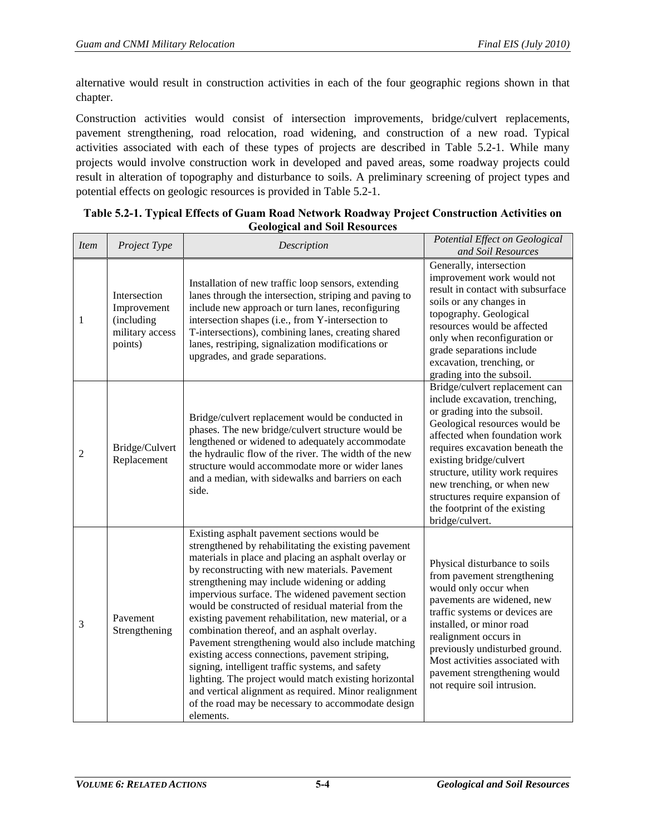alternative would result in construction activities in each of the four geographic regions shown in that chapter.

Construction activities would consist of intersection improvements, bridge/culvert replacements, pavement strengthening, road relocation, road widening, and construction of a new road. Typical activities associated with each of these types of projects are described in [Table 5.2-1.](#page-3-0) While many projects would involve construction work in developed and paved areas, some roadway projects could result in alteration of topography and disturbance to soils. A preliminary screening of project types and potential effects on geologic resources is provided in [Table 5.2-1.](#page-3-0)

| <b>Item</b>    | Project Type                                                            | Description                                                                                                                                                                                                                                                                                                                                                                                                                                                                                                                                                                                                                                                                                                                                                                                                                       | Potential Effect on Geological<br>and Soil Resources                                                                                                                                                                                                                                                                                                                                      |
|----------------|-------------------------------------------------------------------------|-----------------------------------------------------------------------------------------------------------------------------------------------------------------------------------------------------------------------------------------------------------------------------------------------------------------------------------------------------------------------------------------------------------------------------------------------------------------------------------------------------------------------------------------------------------------------------------------------------------------------------------------------------------------------------------------------------------------------------------------------------------------------------------------------------------------------------------|-------------------------------------------------------------------------------------------------------------------------------------------------------------------------------------------------------------------------------------------------------------------------------------------------------------------------------------------------------------------------------------------|
| $\mathbf{1}$   | Intersection<br>Improvement<br>(including<br>military access<br>points) | Installation of new traffic loop sensors, extending<br>lanes through the intersection, striping and paving to<br>include new approach or turn lanes, reconfiguring<br>intersection shapes (i.e., from Y-intersection to<br>T-intersections), combining lanes, creating shared<br>lanes, restriping, signalization modifications or<br>upgrades, and grade separations.                                                                                                                                                                                                                                                                                                                                                                                                                                                            | Generally, intersection<br>improvement work would not<br>result in contact with subsurface<br>soils or any changes in<br>topography. Geological<br>resources would be affected<br>only when reconfiguration or<br>grade separations include<br>excavation, trenching, or<br>grading into the subsoil.                                                                                     |
| $\overline{c}$ | Bridge/Culvert<br>Replacement                                           | Bridge/culvert replacement would be conducted in<br>phases. The new bridge/culvert structure would be<br>lengthened or widened to adequately accommodate<br>the hydraulic flow of the river. The width of the new<br>structure would accommodate more or wider lanes<br>and a median, with sidewalks and barriers on each<br>side.                                                                                                                                                                                                                                                                                                                                                                                                                                                                                                | Bridge/culvert replacement can<br>include excavation, trenching,<br>or grading into the subsoil.<br>Geological resources would be<br>affected when foundation work<br>requires excavation beneath the<br>existing bridge/culvert<br>structure, utility work requires<br>new trenching, or when new<br>structures require expansion of<br>the footprint of the existing<br>bridge/culvert. |
| 3              | Pavement<br>Strengthening                                               | Existing asphalt pavement sections would be<br>strengthened by rehabilitating the existing pavement<br>materials in place and placing an asphalt overlay or<br>by reconstructing with new materials. Pavement<br>strengthening may include widening or adding<br>impervious surface. The widened pavement section<br>would be constructed of residual material from the<br>existing pavement rehabilitation, new material, or a<br>combination thereof, and an asphalt overlay.<br>Pavement strengthening would also include matching<br>existing access connections, pavement striping,<br>signing, intelligent traffic systems, and safety<br>lighting. The project would match existing horizontal<br>and vertical alignment as required. Minor realignment<br>of the road may be necessary to accommodate design<br>elements. | Physical disturbance to soils<br>from pavement strengthening<br>would only occur when<br>pavements are widened, new<br>traffic systems or devices are<br>installed, or minor road<br>realignment occurs in<br>previously undisturbed ground.<br>Most activities associated with<br>pavement strengthening would<br>not require soil intrusion.                                            |

#### <span id="page-3-0"></span>**Table 5.2-1. Typical Effects of Guam Road Network Roadway Project Construction Activities on Geological and Soil Resources**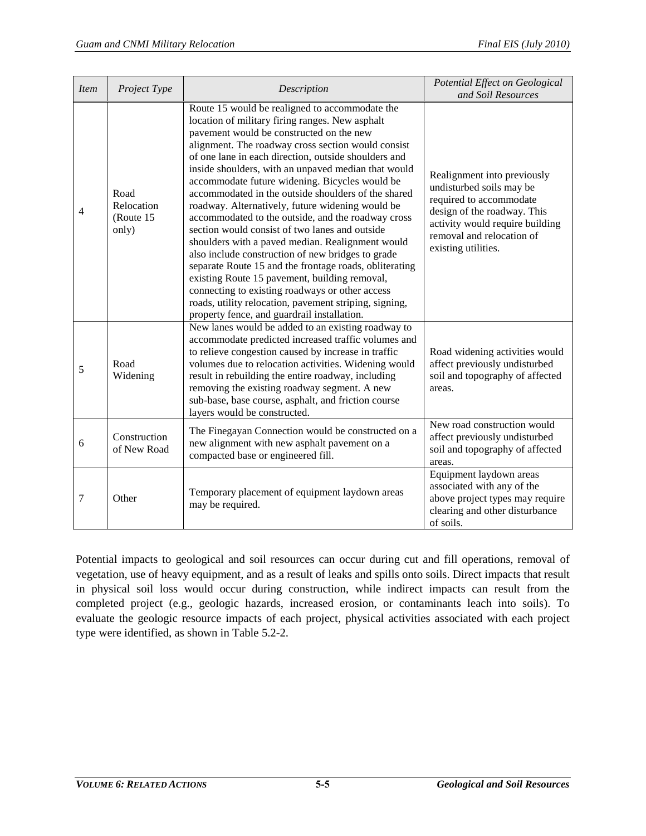| <b>Item</b> | Project Type                              | Description                                                                                                                                                                                                                                                                                                                                                                                                                                                                                                                                                                                                                                                                                                                                                                                                                                                                                                                                                             | Potential Effect on Geological<br>and Soil Resources                                                                                                                                                     |
|-------------|-------------------------------------------|-------------------------------------------------------------------------------------------------------------------------------------------------------------------------------------------------------------------------------------------------------------------------------------------------------------------------------------------------------------------------------------------------------------------------------------------------------------------------------------------------------------------------------------------------------------------------------------------------------------------------------------------------------------------------------------------------------------------------------------------------------------------------------------------------------------------------------------------------------------------------------------------------------------------------------------------------------------------------|----------------------------------------------------------------------------------------------------------------------------------------------------------------------------------------------------------|
| 4           | Road<br>Relocation<br>(Route 15)<br>only) | Route 15 would be realigned to accommodate the<br>location of military firing ranges. New asphalt<br>pavement would be constructed on the new<br>alignment. The roadway cross section would consist<br>of one lane in each direction, outside shoulders and<br>inside shoulders, with an unpaved median that would<br>accommodate future widening. Bicycles would be<br>accommodated in the outside shoulders of the shared<br>roadway. Alternatively, future widening would be<br>accommodated to the outside, and the roadway cross<br>section would consist of two lanes and outside<br>shoulders with a paved median. Realignment would<br>also include construction of new bridges to grade<br>separate Route 15 and the frontage roads, obliterating<br>existing Route 15 pavement, building removal,<br>connecting to existing roadways or other access<br>roads, utility relocation, pavement striping, signing,<br>property fence, and guardrail installation. | Realignment into previously<br>undisturbed soils may be<br>required to accommodate<br>design of the roadway. This<br>activity would require building<br>removal and relocation of<br>existing utilities. |
| 5           | Road<br>Widening                          | New lanes would be added to an existing roadway to<br>accommodate predicted increased traffic volumes and<br>to relieve congestion caused by increase in traffic<br>volumes due to relocation activities. Widening would<br>result in rebuilding the entire roadway, including<br>removing the existing roadway segment. A new<br>sub-base, base course, asphalt, and friction course<br>layers would be constructed.                                                                                                                                                                                                                                                                                                                                                                                                                                                                                                                                                   | Road widening activities would<br>affect previously undisturbed<br>soil and topography of affected<br>areas.                                                                                             |
| 6           | Construction<br>of New Road               | The Finegayan Connection would be constructed on a<br>new alignment with new asphalt pavement on a<br>compacted base or engineered fill.                                                                                                                                                                                                                                                                                                                                                                                                                                                                                                                                                                                                                                                                                                                                                                                                                                | New road construction would<br>affect previously undisturbed<br>soil and topography of affected<br>areas.                                                                                                |
| 7           | Other                                     | Temporary placement of equipment laydown areas<br>may be required.                                                                                                                                                                                                                                                                                                                                                                                                                                                                                                                                                                                                                                                                                                                                                                                                                                                                                                      | Equipment laydown areas<br>associated with any of the<br>above project types may require<br>clearing and other disturbance<br>of soils.                                                                  |

Potential impacts to geological and soil resources can occur during cut and fill operations, removal of vegetation, use of heavy equipment, and as a result of leaks and spills onto soils. Direct impacts that result in physical soil loss would occur during construction, while indirect impacts can result from the completed project (e.g., geologic hazards, increased erosion, or contaminants leach into soils). To evaluate the geologic resource impacts of each project, physical activities associated with each project type were identified, as shown in [Table 5.2-2.](#page-5-0)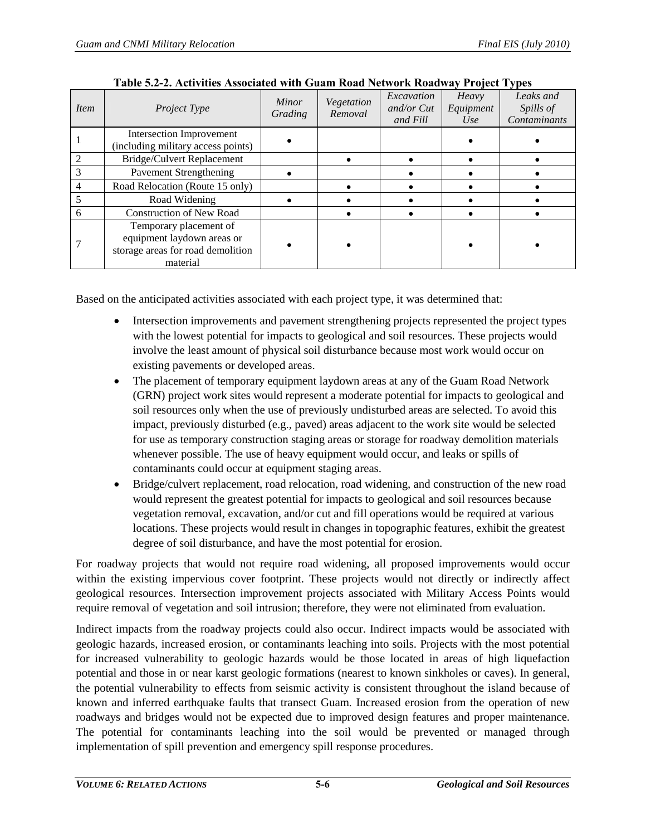<span id="page-5-0"></span>

| Item           | <i>Project Type</i>                                                                                   | Minor<br>Grading | Vegetation<br>Removal | Excavation<br>and/or $Cut$<br>and Fill | Heavy<br>Equipment<br>Use | Leaks and<br>Spills of<br>Contaminants |
|----------------|-------------------------------------------------------------------------------------------------------|------------------|-----------------------|----------------------------------------|---------------------------|----------------------------------------|
|                | Intersection Improvement<br>(including military access points)                                        |                  |                       |                                        |                           |                                        |
| $\mathfrak{D}$ | Bridge/Culvert Replacement                                                                            |                  |                       |                                        |                           |                                        |
|                | <b>Pavement Strengthening</b>                                                                         |                  |                       |                                        |                           |                                        |
| 4              | Road Relocation (Route 15 only)                                                                       |                  |                       |                                        |                           |                                        |
|                | Road Widening                                                                                         |                  |                       |                                        |                           |                                        |
| 6              | <b>Construction of New Road</b>                                                                       |                  |                       |                                        |                           |                                        |
|                | Temporary placement of<br>equipment laydown areas or<br>storage areas for road demolition<br>material |                  |                       |                                        |                           |                                        |

| Table 5.2-2. Activities Associated with Guam Road Network Roadway Project Types |  |  |  |  |
|---------------------------------------------------------------------------------|--|--|--|--|
|---------------------------------------------------------------------------------|--|--|--|--|

Based on the anticipated activities associated with each project type, it was determined that:

- Intersection improvements and pavement strengthening projects represented the project types with the lowest potential for impacts to geological and soil resources. These projects would involve the least amount of physical soil disturbance because most work would occur on existing pavements or developed areas.
- The placement of temporary equipment laydown areas at any of the Guam Road Network (GRN) project work sites would represent a moderate potential for impacts to geological and soil resources only when the use of previously undisturbed areas are selected. To avoid this impact, previously disturbed (e.g., paved) areas adjacent to the work site would be selected for use as temporary construction staging areas or storage for roadway demolition materials whenever possible. The use of heavy equipment would occur, and leaks or spills of contaminants could occur at equipment staging areas.
- Bridge/culvert replacement, road relocation, road widening, and construction of the new road would represent the greatest potential for impacts to geological and soil resources because vegetation removal, excavation, and/or cut and fill operations would be required at various locations. These projects would result in changes in topographic features, exhibit the greatest degree of soil disturbance, and have the most potential for erosion.

For roadway projects that would not require road widening, all proposed improvements would occur within the existing impervious cover footprint. These projects would not directly or indirectly affect geological resources. Intersection improvement projects associated with Military Access Points would require removal of vegetation and soil intrusion; therefore, they were not eliminated from evaluation.

Indirect impacts from the roadway projects could also occur. Indirect impacts would be associated with geologic hazards, increased erosion, or contaminants leaching into soils. Projects with the most potential for increased vulnerability to geologic hazards would be those located in areas of high liquefaction potential and those in or near karst geologic formations (nearest to known sinkholes or caves). In general, the potential vulnerability to effects from seismic activity is consistent throughout the island because of known and inferred earthquake faults that transect Guam. Increased erosion from the operation of new roadways and bridges would not be expected due to improved design features and proper maintenance. The potential for contaminants leaching into the soil would be prevented or managed through implementation of spill prevention and emergency spill response procedures.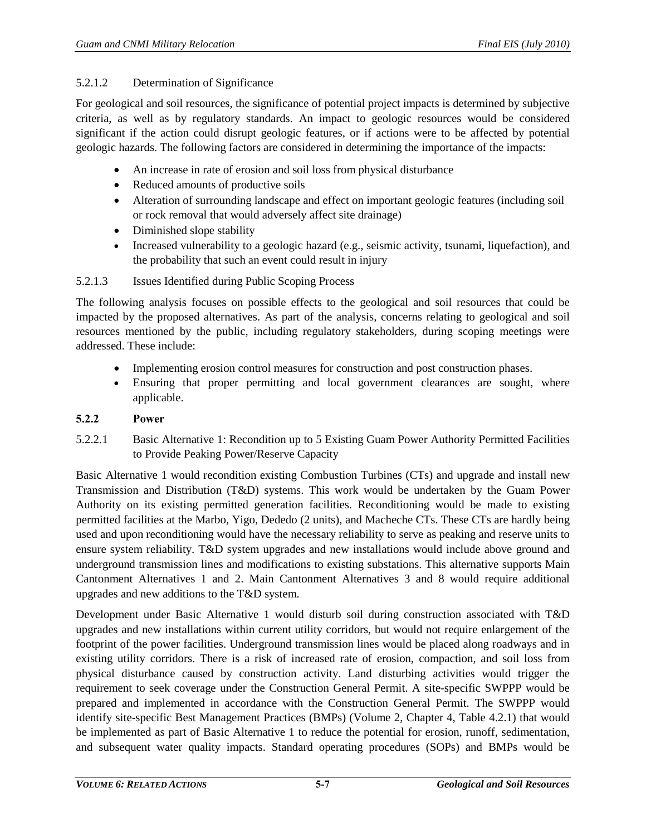## 5.2.1.2 Determination of Significance

For geological and soil resources, the significance of potential project impacts is determined by subjective criteria, as well as by regulatory standards. An impact to geologic resources would be considered significant if the action could disrupt geologic features, or if actions were to be affected by potential geologic hazards. The following factors are considered in determining the importance of the impacts:

- An increase in rate of erosion and soil loss from physical disturbance
- Reduced amounts of productive soils
- Alteration of surrounding landscape and effect on important geologic features (including soil or rock removal that would adversely affect site drainage)
- Diminished slope stability
- Increased vulnerability to a geologic hazard (e.g., seismic activity, tsunami, liquefaction), and the probability that such an event could result in injury

# 5.2.1.3 Issues Identified during Public Scoping Process

The following analysis focuses on possible effects to the geological and soil resources that could be impacted by the proposed alternatives. As part of the analysis, concerns relating to geological and soil resources mentioned by the public, including regulatory stakeholders, during scoping meetings were addressed. These include:

- Implementing erosion control measures for construction and post construction phases.
- Ensuring that proper permitting and local government clearances are sought, where applicable.

## **5.2.2 Power**

<span id="page-6-0"></span>5.2.2.1 Basic Alternative 1: Recondition up to 5 Existing Guam Power Authority Permitted Facilities to Provide Peaking Power/Reserve Capacity

Basic Alternative 1 would recondition existing Combustion Turbines (CTs) and upgrade and install new Transmission and Distribution (T&D) systems. This work would be undertaken by the Guam Power Authority on its existing permitted generation facilities. Reconditioning would be made to existing permitted facilities at the Marbo, Yigo, Dededo (2 units), and Macheche CTs. These CTs are hardly being used and upon reconditioning would have the necessary reliability to serve as peaking and reserve units to ensure system reliability. T&D system upgrades and new installations would include above ground and underground transmission lines and modifications to existing substations. This alternative supports Main Cantonment Alternatives 1 and 2. Main Cantonment Alternatives 3 and 8 would require additional upgrades and new additions to the T&D system.

Development under Basic Alternative 1 would disturb soil during construction associated with T&D upgrades and new installations within current utility corridors, but would not require enlargement of the footprint of the power facilities. Underground transmission lines would be placed along roadways and in existing utility corridors. There is a risk of increased rate of erosion, compaction, and soil loss from physical disturbance caused by construction activity. Land disturbing activities would trigger the requirement to seek coverage under the Construction General Permit. A site-specific SWPPP would be prepared and implemented in accordance with the Construction General Permit. The SWPPP would identify site-specific Best Management Practices (BMPs) (Volume 2, Chapter 4, Table 4.2.1) that would be implemented as part of Basic Alternative 1 to reduce the potential for erosion, runoff, sedimentation, and subsequent water quality impacts. Standard operating procedures (SOPs) and BMPs would be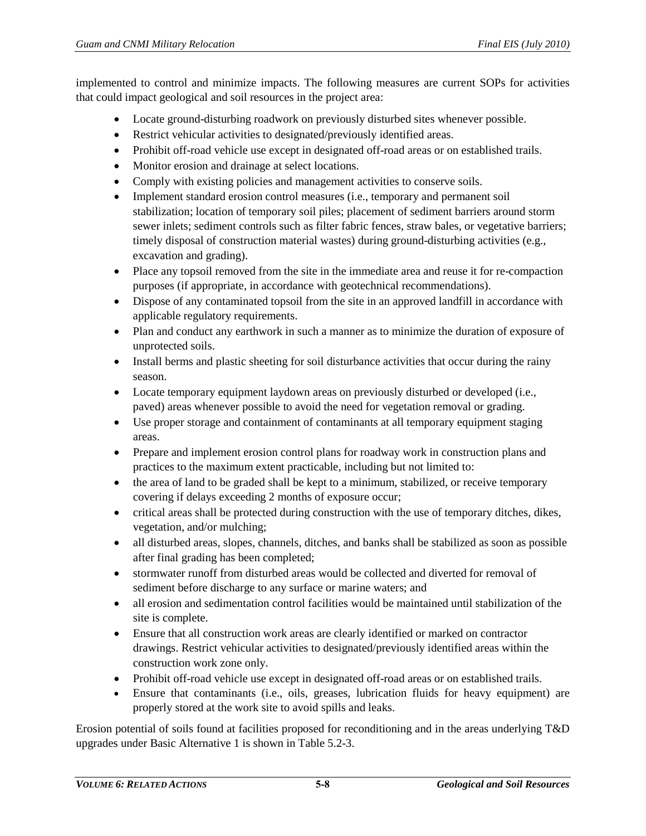implemented to control and minimize impacts. The following measures are current SOPs for activities that could impact geological and soil resources in the project area:

- Locate ground-disturbing roadwork on previously disturbed sites whenever possible.
- Restrict vehicular activities to designated/previously identified areas.
- Prohibit off-road vehicle use except in designated off-road areas or on established trails.
- Monitor erosion and drainage at select locations.
- Comply with existing policies and management activities to conserve soils.
- Implement standard erosion control measures (i.e., temporary and permanent soil stabilization; location of temporary soil piles; placement of sediment barriers around storm sewer inlets; sediment controls such as filter fabric fences, straw bales, or vegetative barriers; timely disposal of construction material wastes) during ground-disturbing activities (e.g., excavation and grading).
- Place any topsoil removed from the site in the immediate area and reuse it for re-compaction purposes (if appropriate, in accordance with geotechnical recommendations).
- Dispose of any contaminated topsoil from the site in an approved landfill in accordance with applicable regulatory requirements.
- Plan and conduct any earthwork in such a manner as to minimize the duration of exposure of unprotected soils.
- Install berms and plastic sheeting for soil disturbance activities that occur during the rainy season.
- Locate temporary equipment laydown areas on previously disturbed or developed (i.e., paved) areas whenever possible to avoid the need for vegetation removal or grading.
- Use proper storage and containment of contaminants at all temporary equipment staging areas.
- Prepare and implement erosion control plans for roadway work in construction plans and practices to the maximum extent practicable, including but not limited to:
- the area of land to be graded shall be kept to a minimum, stabilized, or receive temporary covering if delays exceeding 2 months of exposure occur;
- critical areas shall be protected during construction with the use of temporary ditches, dikes, vegetation, and/or mulching;
- all disturbed areas, slopes, channels, ditches, and banks shall be stabilized as soon as possible after final grading has been completed;
- stormwater runoff from disturbed areas would be collected and diverted for removal of sediment before discharge to any surface or marine waters; and
- all erosion and sedimentation control facilities would be maintained until stabilization of the site is complete.
- Ensure that all construction work areas are clearly identified or marked on contractor drawings. Restrict vehicular activities to designated/previously identified areas within the construction work zone only.
- Prohibit off-road vehicle use except in designated off-road areas or on established trails.
- Ensure that contaminants (i.e., oils, greases, lubrication fluids for heavy equipment) are properly stored at the work site to avoid spills and leaks.

Erosion potential of soils found at facilities proposed for reconditioning and in the areas underlying T&D upgrades under Basic Alternative 1 is shown in [Table 5.2-3.](#page-8-0)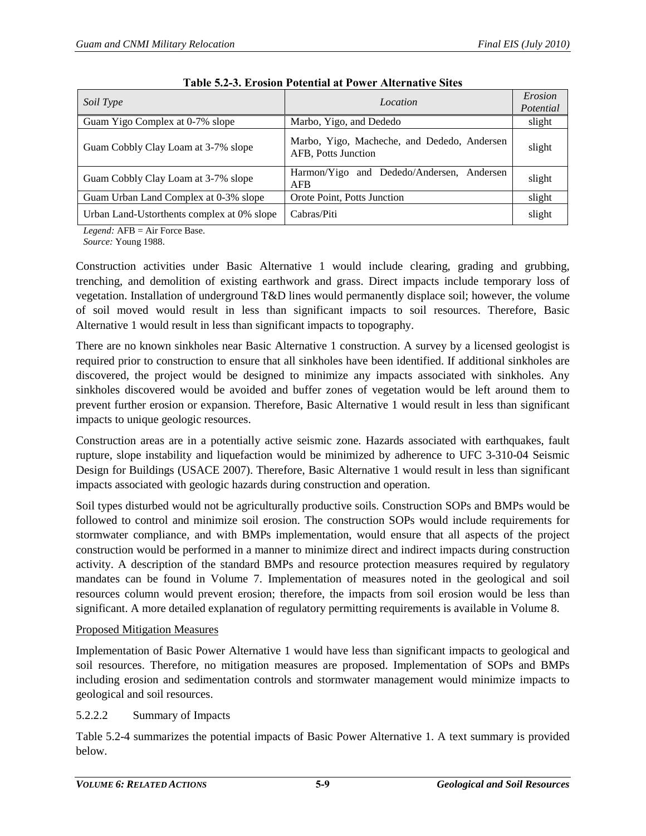<span id="page-8-0"></span>

| Soil Type                                  | Location                                                           | Erosion<br>Potential |
|--------------------------------------------|--------------------------------------------------------------------|----------------------|
| Guam Yigo Complex at 0-7% slope            | Marbo, Yigo, and Dededo                                            | slight               |
| Guam Cobbly Clay Loam at 3-7% slope        | Marbo, Yigo, Macheche, and Dededo, Andersen<br>AFB, Potts Junction | slight               |
| Guam Cobbly Clay Loam at 3-7% slope        | Harmon/Yigo and Dededo/Andersen, Andersen<br>AFB                   | slight               |
| Guam Urban Land Complex at 0-3% slope      | Orote Point, Potts Junction                                        | slight               |
| Urban Land-Ustorthents complex at 0% slope | Cabras/Piti                                                        | slight               |

*Legend:* AFB = Air Force Base.

*Source:* Young 1988.

Construction activities under Basic Alternative 1 would include clearing, grading and grubbing, trenching, and demolition of existing earthwork and grass. Direct impacts include temporary loss of vegetation. Installation of underground T&D lines would permanently displace soil; however, the volume of soil moved would result in less than significant impacts to soil resources. Therefore, Basic Alternative 1 would result in less than significant impacts to topography.

There are no known sinkholes near Basic Alternative 1 construction. A survey by a licensed geologist is required prior to construction to ensure that all sinkholes have been identified. If additional sinkholes are discovered, the project would be designed to minimize any impacts associated with sinkholes. Any sinkholes discovered would be avoided and buffer zones of vegetation would be left around them to prevent further erosion or expansion. Therefore, Basic Alternative 1 would result in less than significant impacts to unique geologic resources.

Construction areas are in a potentially active seismic zone. Hazards associated with earthquakes, fault rupture, slope instability and liquefaction would be minimized by adherence to UFC 3-310-04 Seismic Design for Buildings (USACE 2007). Therefore, Basic Alternative 1 would result in less than significant impacts associated with geologic hazards during construction and operation.

Soil types disturbed would not be agriculturally productive soils. Construction SOPs and BMPs would be followed to control and minimize soil erosion. The construction SOPs would include requirements for stormwater compliance, and with BMPs implementation, would ensure that all aspects of the project construction would be performed in a manner to minimize direct and indirect impacts during construction activity. A description of the standard BMPs and resource protection measures required by regulatory mandates can be found in Volume 7. Implementation of measures noted in the geological and soil resources column would prevent erosion; therefore, the impacts from soil erosion would be less than significant. A more detailed explanation of regulatory permitting requirements is available in Volume 8.

## Proposed Mitigation Measures

Implementation of Basic Power Alternative 1 would have less than significant impacts to geological and soil resources. Therefore, no mitigation measures are proposed. Implementation of SOPs and BMPs including erosion and sedimentation controls and stormwater management would minimize impacts to geological and soil resources.

## 5.2.2.2 Summary of Impacts

[Table 5.2-4](#page-9-0) summarizes the potential impacts of Basic Power Alternative 1. A text summary is provided below.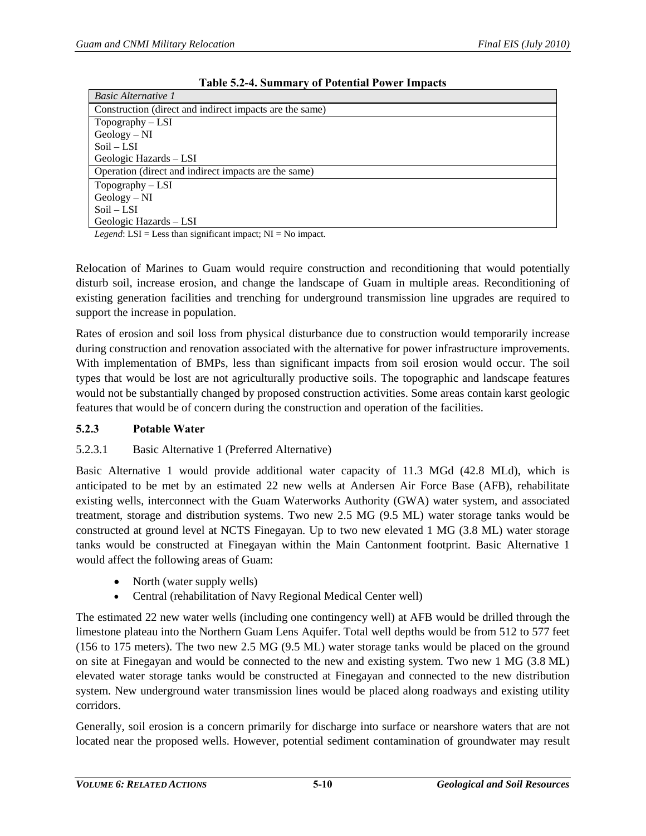<span id="page-9-0"></span>

| <b>Basic Alternative 1</b>                              |  |  |
|---------------------------------------------------------|--|--|
| Construction (direct and indirect impacts are the same) |  |  |
| $Topography - LSI$                                      |  |  |
| $Geology-NI$                                            |  |  |
| $Soil-LSI$                                              |  |  |
| Geologic Hazards - LSI                                  |  |  |
| Operation (direct and indirect impacts are the same)    |  |  |
| $Topography - LSI$                                      |  |  |
| $Geology-NI$                                            |  |  |
| $Soil-LSI$                                              |  |  |
| Geologic Hazards - LSI                                  |  |  |

**Table 5.2-4. Summary of Potential Power Impacts**

*Legend*:  $LSI = Less than significant impact; NI = No impact.$ 

Relocation of Marines to Guam would require construction and reconditioning that would potentially disturb soil, increase erosion, and change the landscape of Guam in multiple areas. Reconditioning of existing generation facilities and trenching for underground transmission line upgrades are required to support the increase in population.

Rates of erosion and soil loss from physical disturbance due to construction would temporarily increase during construction and renovation associated with the alternative for power infrastructure improvements. With implementation of BMPs, less than significant impacts from soil erosion would occur. The soil types that would be lost are not agriculturally productive soils. The topographic and landscape features would not be substantially changed by proposed construction activities. Some areas contain karst geologic features that would be of concern during the construction and operation of the facilities.

## **5.2.3 Potable Water**

## 5.2.3.1 Basic Alternative 1 (Preferred Alternative)

Basic Alternative 1 would provide additional water capacity of 11.3 MGd (42.8 MLd), which is anticipated to be met by an estimated 22 new wells at Andersen Air Force Base (AFB), rehabilitate existing wells, interconnect with the Guam Waterworks Authority (GWA) water system, and associated treatment, storage and distribution systems. Two new 2.5 MG (9.5 ML) water storage tanks would be constructed at ground level at NCTS Finegayan. Up to two new elevated 1 MG (3.8 ML) water storage tanks would be constructed at Finegayan within the Main Cantonment footprint. Basic Alternative 1 would affect the following areas of Guam:

- North (water supply wells)
- Central (rehabilitation of Navy Regional Medical Center well)

The estimated 22 new water wells (including one contingency well) at AFB would be drilled through the limestone plateau into the Northern Guam Lens Aquifer. Total well depths would be from 512 to 577 feet (156 to 175 meters). The two new 2.5 MG (9.5 ML) water storage tanks would be placed on the ground on site at Finegayan and would be connected to the new and existing system. Two new 1 MG (3.8 ML) elevated water storage tanks would be constructed at Finegayan and connected to the new distribution system. New underground water transmission lines would be placed along roadways and existing utility corridors.

Generally, soil erosion is a concern primarily for discharge into surface or nearshore waters that are not located near the proposed wells. However, potential sediment contamination of groundwater may result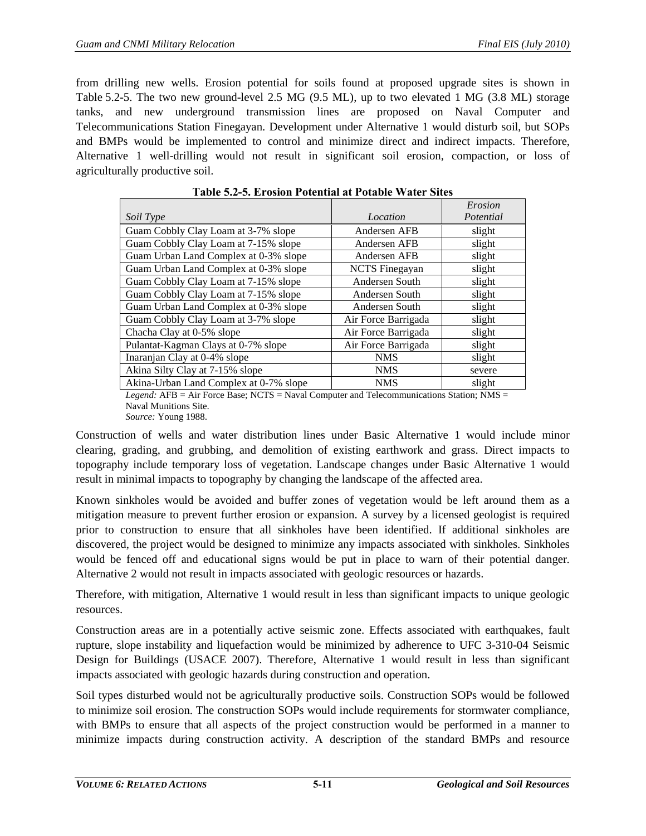from drilling new wells. Erosion potential for soils found at proposed upgrade sites is shown in [Table 5.2-5.](#page-10-0) The two new ground-level 2.5 MG (9.5 ML), up to two elevated 1 MG (3.8 ML) storage tanks, and new underground transmission lines are proposed on Naval Computer and Telecommunications Station Finegayan. Development under Alternative 1 would disturb soil, but SOPs and BMPs would be implemented to control and minimize direct and indirect impacts. Therefore, Alternative 1 well-drilling would not result in significant soil erosion, compaction, or loss of agriculturally productive soil.

<span id="page-10-0"></span>

|                                        |                       | Erosion   |
|----------------------------------------|-----------------------|-----------|
| Soil Type                              | Location              | Potential |
| Guam Cobbly Clay Loam at 3-7% slope    | Andersen AFB          | slight    |
| Guam Cobbly Clay Loam at 7-15% slope   | Andersen AFB          | slight    |
| Guam Urban Land Complex at 0-3% slope  | Andersen AFB          | slight    |
| Guam Urban Land Complex at 0-3% slope  | <b>NCTS</b> Finegayan | slight    |
| Guam Cobbly Clay Loam at 7-15% slope   | Andersen South        | slight    |
| Guam Cobbly Clay Loam at 7-15% slope   | Andersen South        | slight    |
| Guam Urban Land Complex at 0-3% slope  | Andersen South        | slight    |
| Guam Cobbly Clay Loam at 3-7% slope    | Air Force Barrigada   | slight    |
| Chacha Clay at 0-5% slope              | Air Force Barrigada   | slight    |
| Pulantat-Kagman Clays at 0-7% slope    | Air Force Barrigada   | slight    |
| Inaranjan Clay at 0-4% slope           | <b>NMS</b>            | slight    |
| Akina Silty Clay at 7-15% slope        | <b>NMS</b>            | severe    |
| Akina-Urban Land Complex at 0-7% slope | <b>NMS</b>            | slight    |

*Legend:* AFB = Air Force Base; NCTS = Naval Computer and Telecommunications Station; NMS = Naval Munitions Site. *Source:* Young 1988.

Construction of wells and water distribution lines under Basic Alternative 1 would include minor clearing, grading, and grubbing, and demolition of existing earthwork and grass. Direct impacts to topography include temporary loss of vegetation. Landscape changes under Basic Alternative 1 would result in minimal impacts to topography by changing the landscape of the affected area.

Known sinkholes would be avoided and buffer zones of vegetation would be left around them as a mitigation measure to prevent further erosion or expansion. A survey by a licensed geologist is required prior to construction to ensure that all sinkholes have been identified. If additional sinkholes are discovered, the project would be designed to minimize any impacts associated with sinkholes. Sinkholes would be fenced off and educational signs would be put in place to warn of their potential danger. Alternative 2 would not result in impacts associated with geologic resources or hazards.

Therefore, with mitigation, Alternative 1 would result in less than significant impacts to unique geologic resources.

Construction areas are in a potentially active seismic zone. Effects associated with earthquakes, fault rupture, slope instability and liquefaction would be minimized by adherence to UFC 3-310-04 Seismic Design for Buildings (USACE 2007). Therefore, Alternative 1 would result in less than significant impacts associated with geologic hazards during construction and operation.

Soil types disturbed would not be agriculturally productive soils. Construction SOPs would be followed to minimize soil erosion. The construction SOPs would include requirements for stormwater compliance, with BMPs to ensure that all aspects of the project construction would be performed in a manner to minimize impacts during construction activity. A description of the standard BMPs and resource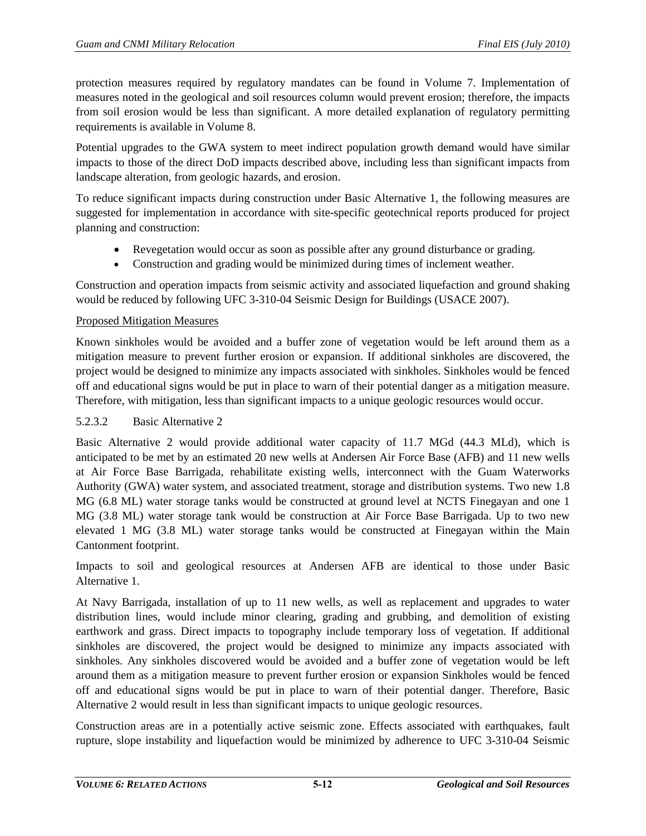protection measures required by regulatory mandates can be found in Volume 7. Implementation of measures noted in the geological and soil resources column would prevent erosion; therefore, the impacts from soil erosion would be less than significant. A more detailed explanation of regulatory permitting requirements is available in Volume 8.

Potential upgrades to the GWA system to meet indirect population growth demand would have similar impacts to those of the direct DoD impacts described above, including less than significant impacts from landscape alteration, from geologic hazards, and erosion.

To reduce significant impacts during construction under Basic Alternative 1, the following measures are suggested for implementation in accordance with site-specific geotechnical reports produced for project planning and construction:

- Revegetation would occur as soon as possible after any ground disturbance or grading.
- Construction and grading would be minimized during times of inclement weather.

Construction and operation impacts from seismic activity and associated liquefaction and ground shaking would be reduced by following UFC 3-310-04 Seismic Design for Buildings (USACE 2007).

## Proposed Mitigation Measures

Known sinkholes would be avoided and a buffer zone of vegetation would be left around them as a mitigation measure to prevent further erosion or expansion. If additional sinkholes are discovered, the project would be designed to minimize any impacts associated with sinkholes. Sinkholes would be fenced off and educational signs would be put in place to warn of their potential danger as a mitigation measure. Therefore, with mitigation, less than significant impacts to a unique geologic resources would occur.

## 5.2.3.2 Basic Alternative 2

Basic Alternative 2 would provide additional water capacity of 11.7 MGd (44.3 MLd), which is anticipated to be met by an estimated 20 new wells at Andersen Air Force Base (AFB) and 11 new wells at Air Force Base Barrigada, rehabilitate existing wells, interconnect with the Guam Waterworks Authority (GWA) water system, and associated treatment, storage and distribution systems. Two new 1.8 MG (6.8 ML) water storage tanks would be constructed at ground level at NCTS Finegayan and one 1 MG (3.8 ML) water storage tank would be construction at Air Force Base Barrigada. Up to two new elevated 1 MG (3.8 ML) water storage tanks would be constructed at Finegayan within the Main Cantonment footprint.

Impacts to soil and geological resources at Andersen AFB are identical to those under Basic Alternative 1.

At Navy Barrigada, installation of up to 11 new wells, as well as replacement and upgrades to water distribution lines, would include minor clearing, grading and grubbing, and demolition of existing earthwork and grass. Direct impacts to topography include temporary loss of vegetation. If additional sinkholes are discovered, the project would be designed to minimize any impacts associated with sinkholes. Any sinkholes discovered would be avoided and a buffer zone of vegetation would be left around them as a mitigation measure to prevent further erosion or expansion Sinkholes would be fenced off and educational signs would be put in place to warn of their potential danger. Therefore, Basic Alternative 2 would result in less than significant impacts to unique geologic resources.

Construction areas are in a potentially active seismic zone. Effects associated with earthquakes, fault rupture, slope instability and liquefaction would be minimized by adherence to UFC 3-310-04 Seismic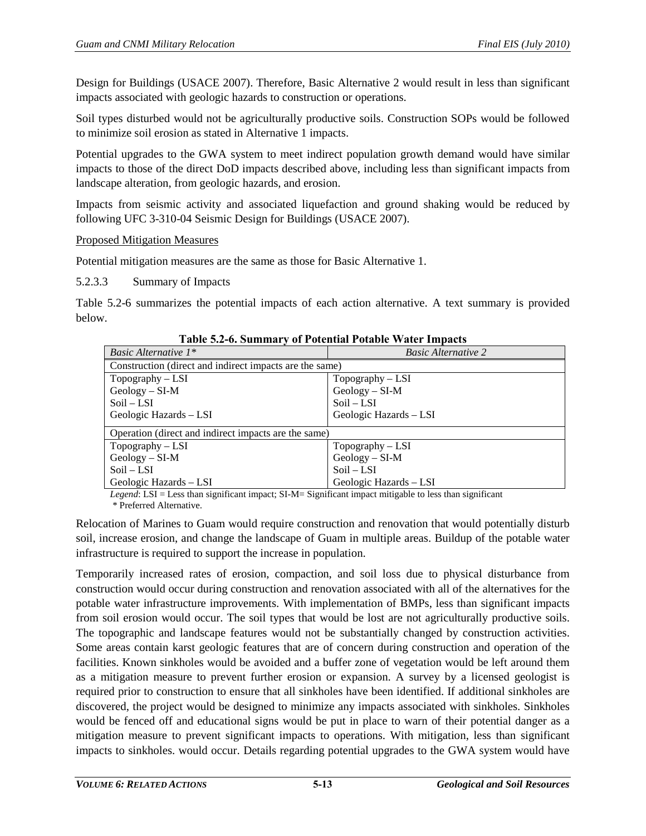Design for Buildings (USACE 2007). Therefore, Basic Alternative 2 would result in less than significant impacts associated with geologic hazards to construction or operations.

Soil types disturbed would not be agriculturally productive soils. Construction SOPs would be followed to minimize soil erosion as stated in Alternative 1 impacts.

Potential upgrades to the GWA system to meet indirect population growth demand would have similar impacts to those of the direct DoD impacts described above, including less than significant impacts from landscape alteration, from geologic hazards, and erosion.

Impacts from seismic activity and associated liquefaction and ground shaking would be reduced by following UFC 3-310-04 Seismic Design for Buildings (USACE 2007).

## Proposed Mitigation Measures

Potential mitigation measures are the same as those for Basic Alternative 1.

## 5.2.3.3 Summary of Impacts

[Table 5.2-6](#page-12-0) summarizes the potential impacts of each action alternative. A text summary is provided below.

<span id="page-12-0"></span>

| Basic Alternative $1^*$                                 | <b>Basic Alternative 2</b> |  |
|---------------------------------------------------------|----------------------------|--|
| Construction (direct and indirect impacts are the same) |                            |  |
| $Topography - LSI$                                      | $Topography - LSI$         |  |
| $Geology-SI-M$                                          | $Geology-SI-M$             |  |
| $Soil-LSI$                                              | $Soil-LSI$                 |  |
| Geologic Hazards - LSI                                  | Geologic Hazards - LSI     |  |
| Operation (direct and indirect impacts are the same)    |                            |  |
| $Topography - LSI$                                      | $Topography - LSI$         |  |
| $Geology - SI-M$                                        | $Geology-SI-M$             |  |
| $Soil-LSI$                                              | $Soil-LSI$                 |  |
| Geologic Hazards - LSI                                  | Geologic Hazards - LSI     |  |

**Table 5.2-6. Summary of Potential Potable Water Impacts**

*Legend*: LSI = Less than significant impact; SI-M= Significant impact mitigable to less than significant \* Preferred Alternative.

Relocation of Marines to Guam would require construction and renovation that would potentially disturb soil, increase erosion, and change the landscape of Guam in multiple areas. Buildup of the potable water infrastructure is required to support the increase in population.

Temporarily increased rates of erosion, compaction, and soil loss due to physical disturbance from construction would occur during construction and renovation associated with all of the alternatives for the potable water infrastructure improvements. With implementation of BMPs, less than significant impacts from soil erosion would occur. The soil types that would be lost are not agriculturally productive soils. The topographic and landscape features would not be substantially changed by construction activities. Some areas contain karst geologic features that are of concern during construction and operation of the facilities. Known sinkholes would be avoided and a buffer zone of vegetation would be left around them as a mitigation measure to prevent further erosion or expansion. A survey by a licensed geologist is required prior to construction to ensure that all sinkholes have been identified. If additional sinkholes are discovered, the project would be designed to minimize any impacts associated with sinkholes. Sinkholes would be fenced off and educational signs would be put in place to warn of their potential danger as a mitigation measure to prevent significant impacts to operations. With mitigation, less than significant impacts to sinkholes. would occur. Details regarding potential upgrades to the GWA system would have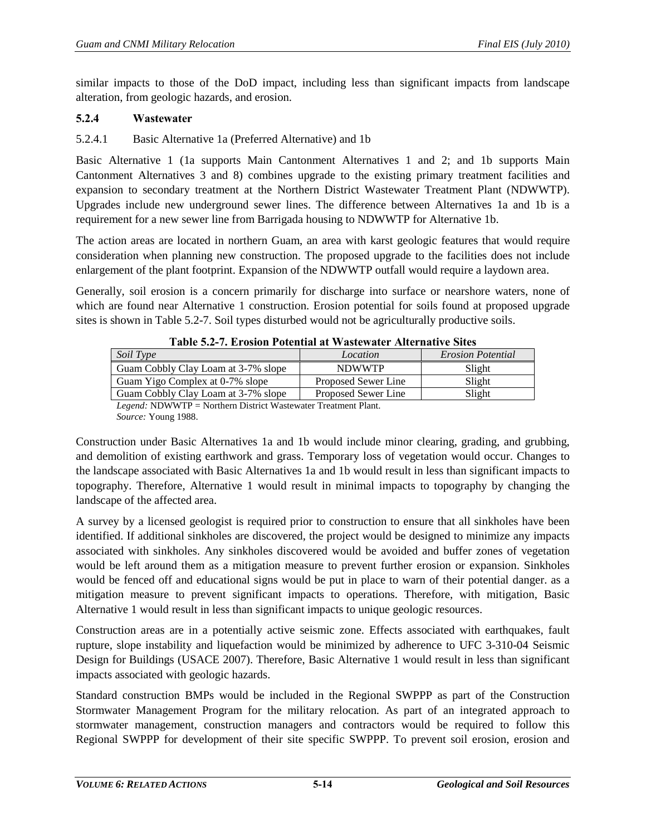similar impacts to those of the DoD impact, including less than significant impacts from landscape alteration, from geologic hazards, and erosion.

# **5.2.4 Wastewater**

# 5.2.4.1 Basic Alternative 1a (Preferred Alternative) and 1b

Basic Alternative 1 (1a supports Main Cantonment Alternatives 1 and 2; and 1b supports Main Cantonment Alternatives 3 and 8) combines upgrade to the existing primary treatment facilities and expansion to secondary treatment at the Northern District Wastewater Treatment Plant (NDWWTP). Upgrades include new underground sewer lines. The difference between Alternatives 1a and 1b is a requirement for a new sewer line from Barrigada housing to NDWWTP for Alternative 1b.

The action areas are located in northern Guam, an area with karst geologic features that would require consideration when planning new construction. The proposed upgrade to the facilities does not include enlargement of the plant footprint. Expansion of the NDWWTP outfall would require a laydown area.

Generally, soil erosion is a concern primarily for discharge into surface or nearshore waters, none of which are found near Alternative 1 construction. Erosion potential for soils found at proposed upgrade sites is shown in [Table 5.2-7.](#page-13-0) Soil types disturbed would not be agriculturally productive soils.

<span id="page-13-0"></span>

| Location            | <i>Erosion Potential</i> |
|---------------------|--------------------------|
| <b>NDWWTP</b>       | Slight                   |
| Proposed Sewer Line | Slight                   |
| Proposed Sewer Line | Slight                   |
|                     |                          |

**Table 5.2-7. Erosion Potential at Wastewater Alternative Sites** 

*Legend:* NDWWTP = Northern District Wastewater Treatment Plant. *Source:* Young 1988.

Construction under Basic Alternatives 1a and 1b would include minor clearing, grading, and grubbing, and demolition of existing earthwork and grass. Temporary loss of vegetation would occur. Changes to the landscape associated with Basic Alternatives 1a and 1b would result in less than significant impacts to topography. Therefore, Alternative 1 would result in minimal impacts to topography by changing the landscape of the affected area.

A survey by a licensed geologist is required prior to construction to ensure that all sinkholes have been identified. If additional sinkholes are discovered, the project would be designed to minimize any impacts associated with sinkholes. Any sinkholes discovered would be avoided and buffer zones of vegetation would be left around them as a mitigation measure to prevent further erosion or expansion. Sinkholes would be fenced off and educational signs would be put in place to warn of their potential danger. as a mitigation measure to prevent significant impacts to operations. Therefore, with mitigation, Basic Alternative 1 would result in less than significant impacts to unique geologic resources.

Construction areas are in a potentially active seismic zone. Effects associated with earthquakes, fault rupture, slope instability and liquefaction would be minimized by adherence to UFC 3-310-04 Seismic Design for Buildings (USACE 2007). Therefore, Basic Alternative 1 would result in less than significant impacts associated with geologic hazards.

Standard construction BMPs would be included in the Regional SWPPP as part of the Construction Stormwater Management Program for the military relocation. As part of an integrated approach to stormwater management, construction managers and contractors would be required to follow this Regional SWPPP for development of their site specific SWPPP. To prevent soil erosion, erosion and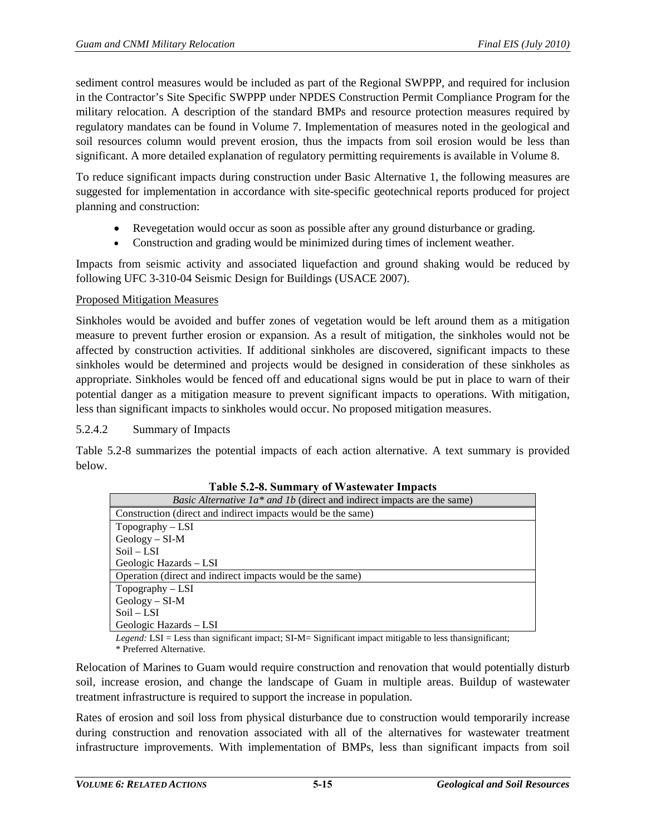sediment control measures would be included as part of the Regional SWPPP, and required for inclusion in the Contractor's Site Specific SWPPP under NPDES Construction Permit Compliance Program for the military relocation. A description of the standard BMPs and resource protection measures required by regulatory mandates can be found in Volume 7. Implementation of measures noted in the geological and soil resources column would prevent erosion, thus the impacts from soil erosion would be less than significant. A more detailed explanation of regulatory permitting requirements is available in Volume 8.

To reduce significant impacts during construction under Basic Alternative 1, the following measures are suggested for implementation in accordance with site-specific geotechnical reports produced for project planning and construction:

- Revegetation would occur as soon as possible after any ground disturbance or grading.
- Construction and grading would be minimized during times of inclement weather.

Impacts from seismic activity and associated liquefaction and ground shaking would be reduced by following UFC 3-310-04 Seismic Design for Buildings (USACE 2007).

## Proposed Mitigation Measures

Sinkholes would be avoided and buffer zones of vegetation would be left around them as a mitigation measure to prevent further erosion or expansion. As a result of mitigation, the sinkholes would not be affected by construction activities. If additional sinkholes are discovered, significant impacts to these sinkholes would be determined and projects would be designed in consideration of these sinkholes as appropriate. Sinkholes would be fenced off and educational signs would be put in place to warn of their potential danger as a mitigation measure to prevent significant impacts to operations. With mitigation, less than significant impacts to sinkholes would occur. No proposed mitigation measures.

## 5.2.4.2 Summary of Impacts

<span id="page-14-0"></span>[Table 5.2-8](#page-14-0) summarizes the potential impacts of each action alternative. A text summary is provided below.

| <i>Basic Alternative 1a* and 1b</i> (direct and indirect impacts are the same) |
|--------------------------------------------------------------------------------|
| Construction (direct and indirect impacts would be the same)                   |
| $Topography - LSI$                                                             |
| $Geology - SI-M$                                                               |
| $Soil-LSI$                                                                     |
| Geologic Hazards - LSI                                                         |
| Operation (direct and indirect impacts would be the same)                      |
| $Topography - LSI$                                                             |
| $Geology - SI-M$                                                               |
| $Soil-LSI$                                                                     |
| Geologic Hazards – LSI                                                         |

#### **Table 5.2-8. Summary of Wastewater Impacts**

*Legend:* LSI = Less than significant impact; SI-M= Significant impact mitigable to less thansignificant;

\* Preferred Alternative.

Relocation of Marines to Guam would require construction and renovation that would potentially disturb soil, increase erosion, and change the landscape of Guam in multiple areas. Buildup of wastewater treatment infrastructure is required to support the increase in population.

Rates of erosion and soil loss from physical disturbance due to construction would temporarily increase during construction and renovation associated with all of the alternatives for wastewater treatment infrastructure improvements. With implementation of BMPs, less than significant impacts from soil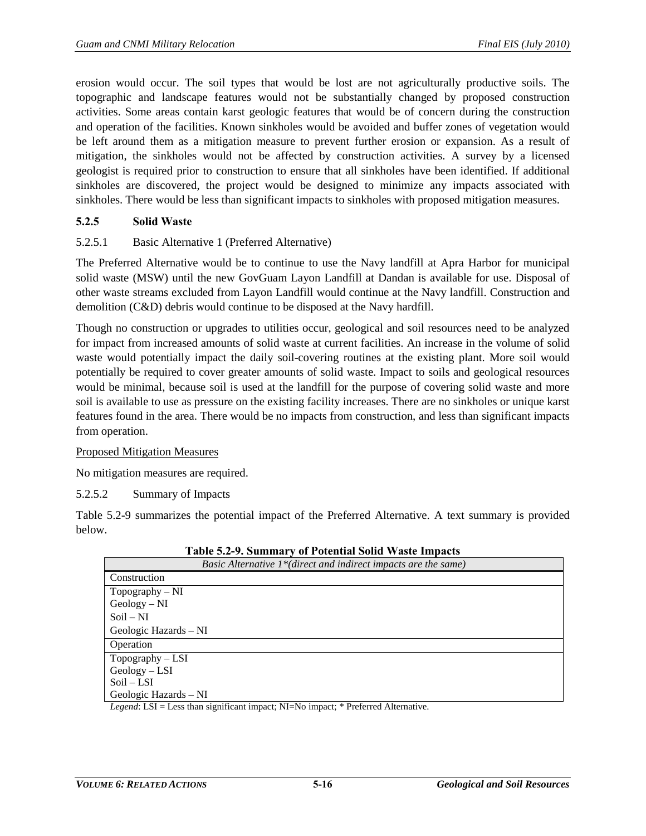erosion would occur. The soil types that would be lost are not agriculturally productive soils. The topographic and landscape features would not be substantially changed by proposed construction activities. Some areas contain karst geologic features that would be of concern during the construction and operation of the facilities. Known sinkholes would be avoided and buffer zones of vegetation would be left around them as a mitigation measure to prevent further erosion or expansion. As a result of mitigation, the sinkholes would not be affected by construction activities. A survey by a licensed geologist is required prior to construction to ensure that all sinkholes have been identified. If additional sinkholes are discovered, the project would be designed to minimize any impacts associated with sinkholes. There would be less than significant impacts to sinkholes with proposed mitigation measures.

## **5.2.5 Solid Waste**

## 5.2.5.1 Basic Alternative 1 (Preferred Alternative)

The Preferred Alternative would be to continue to use the Navy landfill at Apra Harbor for municipal solid waste (MSW) until the new GovGuam Layon Landfill at Dandan is available for use. Disposal of other waste streams excluded from Layon Landfill would continue at the Navy landfill. Construction and demolition (C&D) debris would continue to be disposed at the Navy hardfill.

Though no construction or upgrades to utilities occur, geological and soil resources need to be analyzed for impact from increased amounts of solid waste at current facilities. An increase in the volume of solid waste would potentially impact the daily soil-covering routines at the existing plant. More soil would potentially be required to cover greater amounts of solid waste. Impact to soils and geological resources would be minimal, because soil is used at the landfill for the purpose of covering solid waste and more soil is available to use as pressure on the existing facility increases. There are no sinkholes or unique karst features found in the area. There would be no impacts from construction, and less than significant impacts from operation.

#### Proposed Mitigation Measures

No mitigation measures are required.

5.2.5.2 Summary of Impacts

[Table 5.2-9](#page-15-0) summarizes the potential impact of the Preferred Alternative. A text summary is provided below.

<span id="page-15-0"></span>

| таріс он 71 баштага у от 1 беспена бона туазес піпрасез                |  |  |  |  |  |
|------------------------------------------------------------------------|--|--|--|--|--|
| <i>Basic Alternative 1*</i> (direct and indirect impacts are the same) |  |  |  |  |  |
| Construction                                                           |  |  |  |  |  |
| Topography $-NI$                                                       |  |  |  |  |  |
| $Geology - NI$                                                         |  |  |  |  |  |
| $Soil-NI$                                                              |  |  |  |  |  |
| Geologic Hazards – NI                                                  |  |  |  |  |  |
| Operation                                                              |  |  |  |  |  |
| $Topography - LSI$                                                     |  |  |  |  |  |
| $Geology - LSI$                                                        |  |  |  |  |  |
| $Soil-LSI$                                                             |  |  |  |  |  |
| Geologic Hazards – NI                                                  |  |  |  |  |  |
|                                                                        |  |  |  |  |  |

**Table 5.2-9. Summary of Potential Solid Waste Impacts** 

*Legend*: LSI = Less than significant impact; NI=No impact; \* Preferred Alternative.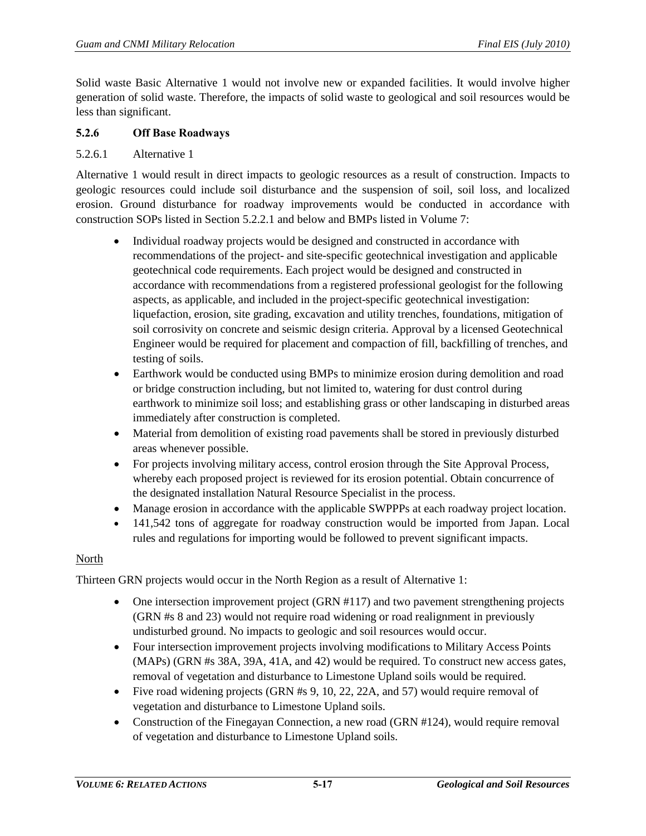Solid waste Basic Alternative 1 would not involve new or expanded facilities. It would involve higher generation of solid waste. Therefore, the impacts of solid waste to geological and soil resources would be less than significant.

## **5.2.6 Off Base Roadways**

## 5.2.6.1 Alternative 1

Alternative 1 would result in direct impacts to geologic resources as a result of construction. Impacts to geologic resources could include soil disturbance and the suspension of soil, soil loss, and localized erosion. Ground disturbance for roadway improvements would be conducted in accordance with construction SOPs listed in Section [5.2.2.1](#page-6-0) and below and BMPs listed in Volume 7:

- Individual roadway projects would be designed and constructed in accordance with recommendations of the project- and site-specific geotechnical investigation and applicable geotechnical code requirements. Each project would be designed and constructed in accordance with recommendations from a registered professional geologist for the following aspects, as applicable, and included in the project-specific geotechnical investigation: liquefaction, erosion, site grading, excavation and utility trenches, foundations, mitigation of soil corrosivity on concrete and seismic design criteria. Approval by a licensed Geotechnical Engineer would be required for placement and compaction of fill, backfilling of trenches, and testing of soils.
- Earthwork would be conducted using BMPs to minimize erosion during demolition and road or bridge construction including, but not limited to, watering for dust control during earthwork to minimize soil loss; and establishing grass or other landscaping in disturbed areas immediately after construction is completed.
- Material from demolition of existing road pavements shall be stored in previously disturbed areas whenever possible.
- For projects involving military access, control erosion through the Site Approval Process, whereby each proposed project is reviewed for its erosion potential. Obtain concurrence of the designated installation Natural Resource Specialist in the process.
- Manage erosion in accordance with the applicable SWPPPs at each roadway project location.
- 141,542 tons of aggregate for roadway construction would be imported from Japan. Local rules and regulations for importing would be followed to prevent significant impacts.

## North

Thirteen GRN projects would occur in the North Region as a result of Alternative 1:

- One intersection improvement project (GRN #117) and two pavement strengthening projects (GRN #s 8 and 23) would not require road widening or road realignment in previously undisturbed ground. No impacts to geologic and soil resources would occur.
- Four intersection improvement projects involving modifications to Military Access Points (MAPs) (GRN #s 38A, 39A, 41A, and 42) would be required. To construct new access gates, removal of vegetation and disturbance to Limestone Upland soils would be required.
- Five road widening projects (GRN  $#s$  9, 10, 22, 22A, and 57) would require removal of vegetation and disturbance to Limestone Upland soils.
- Construction of the Finegayan Connection, a new road (GRN #124), would require removal of vegetation and disturbance to Limestone Upland soils.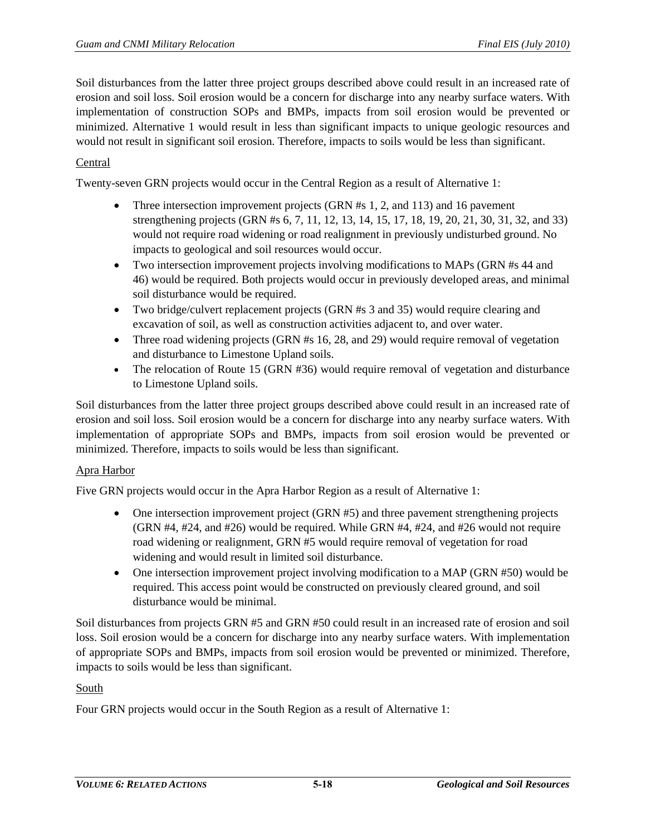Soil disturbances from the latter three project groups described above could result in an increased rate of erosion and soil loss. Soil erosion would be a concern for discharge into any nearby surface waters. With implementation of construction SOPs and BMPs, impacts from soil erosion would be prevented or minimized. Alternative 1 would result in less than significant impacts to unique geologic resources and would not result in significant soil erosion. Therefore, impacts to soils would be less than significant.

# Central

Twenty-seven GRN projects would occur in the Central Region as a result of Alternative 1:

- Three intersection improvement projects (GRN #s 1, 2, and 113) and 16 pavement strengthening projects (GRN #s 6, 7, 11, 12, 13, 14, 15, 17, 18, 19, 20, 21, 30, 31, 32, and 33) would not require road widening or road realignment in previously undisturbed ground. No impacts to geological and soil resources would occur.
- Two intersection improvement projects involving modifications to MAPs (GRN #s 44 and 46) would be required. Both projects would occur in previously developed areas, and minimal soil disturbance would be required.
- Two bridge/culvert replacement projects (GRN #s 3 and 35) would require clearing and excavation of soil, as well as construction activities adjacent to, and over water.
- Three road widening projects (GRN #s 16, 28, and 29) would require removal of vegetation and disturbance to Limestone Upland soils.
- The relocation of Route 15 (GRN #36) would require removal of vegetation and disturbance to Limestone Upland soils.

Soil disturbances from the latter three project groups described above could result in an increased rate of erosion and soil loss. Soil erosion would be a concern for discharge into any nearby surface waters. With implementation of appropriate SOPs and BMPs, impacts from soil erosion would be prevented or minimized. Therefore, impacts to soils would be less than significant.

## Apra Harbor

Five GRN projects would occur in the Apra Harbor Region as a result of Alternative 1:

- One intersection improvement project (GRN #5) and three pavement strengthening projects (GRN #4, #24, and #26) would be required. While GRN #4, #24, and #26 would not require road widening or realignment, GRN #5 would require removal of vegetation for road widening and would result in limited soil disturbance.
- One intersection improvement project involving modification to a MAP (GRN #50) would be required. This access point would be constructed on previously cleared ground, and soil disturbance would be minimal.

Soil disturbances from projects GRN #5 and GRN #50 could result in an increased rate of erosion and soil loss. Soil erosion would be a concern for discharge into any nearby surface waters. With implementation of appropriate SOPs and BMPs, impacts from soil erosion would be prevented or minimized. Therefore, impacts to soils would be less than significant.

## South

Four GRN projects would occur in the South Region as a result of Alternative 1: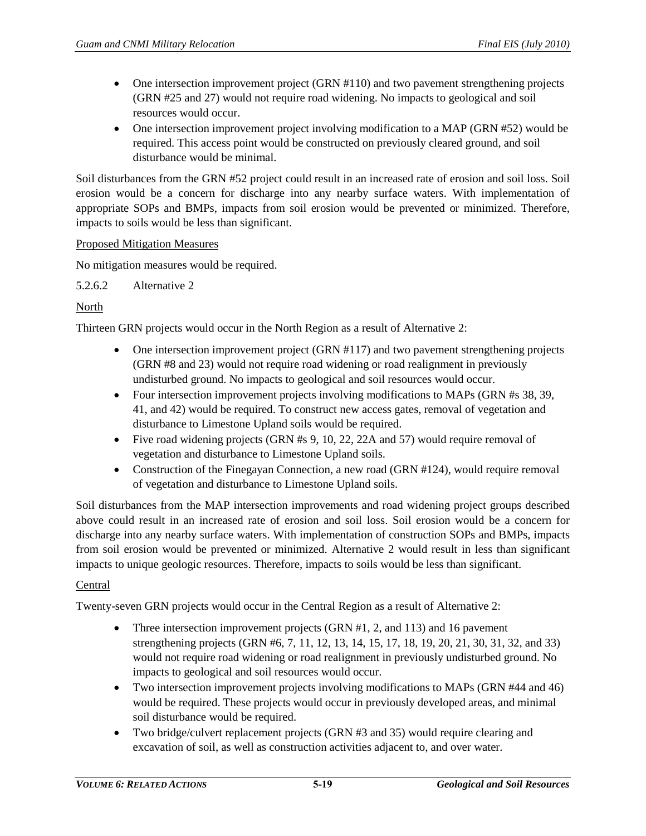- One intersection improvement project (GRN #110) and two pavement strengthening projects (GRN #25 and 27) would not require road widening. No impacts to geological and soil resources would occur.
- One intersection improvement project involving modification to a MAP (GRN #52) would be required. This access point would be constructed on previously cleared ground, and soil disturbance would be minimal.

Soil disturbances from the GRN #52 project could result in an increased rate of erosion and soil loss. Soil erosion would be a concern for discharge into any nearby surface waters. With implementation of appropriate SOPs and BMPs, impacts from soil erosion would be prevented or minimized. Therefore, impacts to soils would be less than significant.

#### Proposed Mitigation Measures

No mitigation measures would be required.

5.2.6.2 Alternative 2

## North

Thirteen GRN projects would occur in the North Region as a result of Alternative 2:

- One intersection improvement project (GRN #117) and two pavement strengthening projects (GRN #8 and 23) would not require road widening or road realignment in previously undisturbed ground. No impacts to geological and soil resources would occur.
- Four intersection improvement projects involving modifications to MAPs (GRN #s 38, 39, 41, and 42) would be required. To construct new access gates, removal of vegetation and disturbance to Limestone Upland soils would be required.
- Five road widening projects (GRN  $#s$  9, 10, 22, 22A and 57) would require removal of vegetation and disturbance to Limestone Upland soils.
- Construction of the Finegayan Connection, a new road (GRN #124), would require removal of vegetation and disturbance to Limestone Upland soils.

Soil disturbances from the MAP intersection improvements and road widening project groups described above could result in an increased rate of erosion and soil loss. Soil erosion would be a concern for discharge into any nearby surface waters. With implementation of construction SOPs and BMPs, impacts from soil erosion would be prevented or minimized. Alternative 2 would result in less than significant impacts to unique geologic resources. Therefore, impacts to soils would be less than significant.

## Central

Twenty-seven GRN projects would occur in the Central Region as a result of Alternative 2:

- Three intersection improvement projects (GRN #1, 2, and 113) and 16 pavement strengthening projects (GRN #6, 7, 11, 12, 13, 14, 15, 17, 18, 19, 20, 21, 30, 31, 32, and 33) would not require road widening or road realignment in previously undisturbed ground. No impacts to geological and soil resources would occur.
- Two intersection improvement projects involving modifications to MAPs (GRN #44 and 46) would be required. These projects would occur in previously developed areas, and minimal soil disturbance would be required.
- Two bridge/culvert replacement projects (GRN #3 and 35) would require clearing and excavation of soil, as well as construction activities adjacent to, and over water.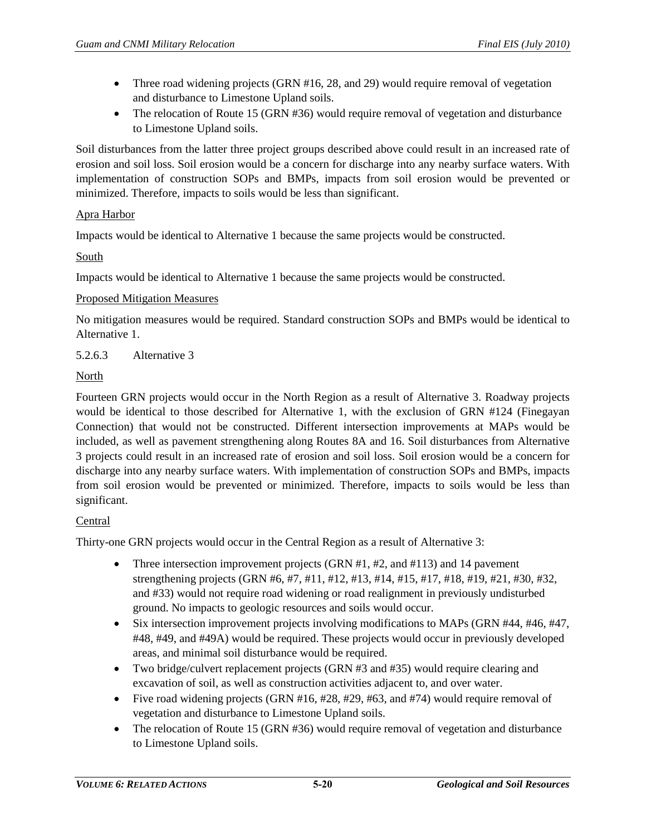- Three road widening projects (GRN #16, 28, and 29) would require removal of vegetation and disturbance to Limestone Upland soils.
- The relocation of Route 15 (GRN #36) would require removal of vegetation and disturbance to Limestone Upland soils.

Soil disturbances from the latter three project groups described above could result in an increased rate of erosion and soil loss. Soil erosion would be a concern for discharge into any nearby surface waters. With implementation of construction SOPs and BMPs, impacts from soil erosion would be prevented or minimized. Therefore, impacts to soils would be less than significant.

# Apra Harbor

Impacts would be identical to Alternative 1 because the same projects would be constructed.

# South

Impacts would be identical to Alternative 1 because the same projects would be constructed.

## Proposed Mitigation Measures

No mitigation measures would be required. Standard construction SOPs and BMPs would be identical to Alternative 1.

# 5.2.6.3 Alternative 3

# North

Fourteen GRN projects would occur in the North Region as a result of Alternative 3. Roadway projects would be identical to those described for Alternative 1, with the exclusion of GRN #124 (Finegayan Connection) that would not be constructed. Different intersection improvements at MAPs would be included, as well as pavement strengthening along Routes 8A and 16. Soil disturbances from Alternative 3 projects could result in an increased rate of erosion and soil loss. Soil erosion would be a concern for discharge into any nearby surface waters. With implementation of construction SOPs and BMPs, impacts from soil erosion would be prevented or minimized. Therefore, impacts to soils would be less than significant.

## Central

Thirty-one GRN projects would occur in the Central Region as a result of Alternative 3:

- Three intersection improvement projects (GRN  $#1, #2,$  and  $#113$ ) and 14 pavement strengthening projects (GRN #6, #7, #11, #12, #13, #14, #15, #17, #18, #19, #21, #30, #32, and #33) would not require road widening or road realignment in previously undisturbed ground. No impacts to geologic resources and soils would occur.
- Six intersection improvement projects involving modifications to MAPs (GRN #44, #46, #47, #48, #49, and #49A) would be required. These projects would occur in previously developed areas, and minimal soil disturbance would be required.
- Two bridge/culvert replacement projects (GRN #3 and #35) would require clearing and excavation of soil, as well as construction activities adjacent to, and over water.
- Five road widening projects (GRN  $#16, #28, #29, #63,$  and  $#74$ ) would require removal of vegetation and disturbance to Limestone Upland soils.
- The relocation of Route 15 (GRN #36) would require removal of vegetation and disturbance to Limestone Upland soils.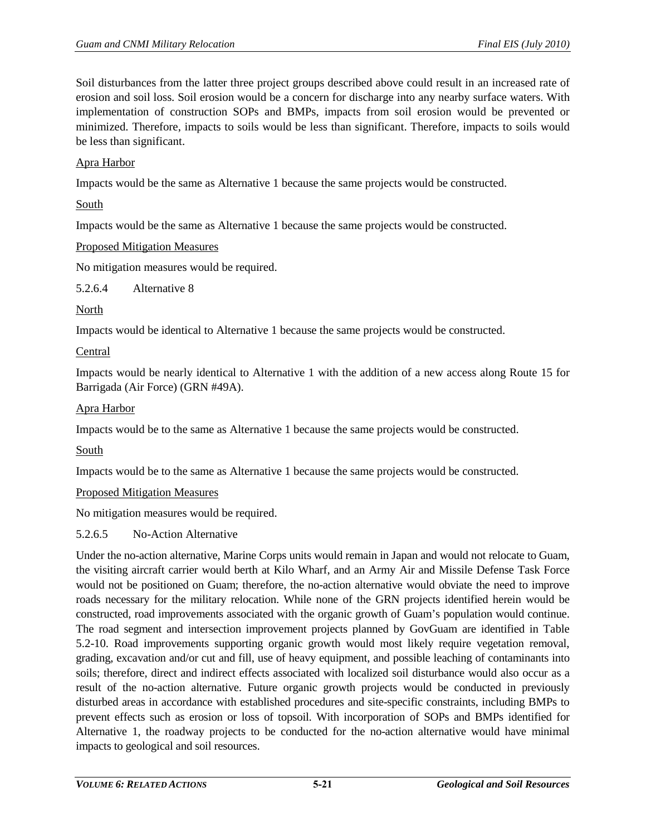Soil disturbances from the latter three project groups described above could result in an increased rate of erosion and soil loss. Soil erosion would be a concern for discharge into any nearby surface waters. With implementation of construction SOPs and BMPs, impacts from soil erosion would be prevented or minimized. Therefore, impacts to soils would be less than significant. Therefore, impacts to soils would be less than significant.

## Apra Harbor

Impacts would be the same as Alternative 1 because the same projects would be constructed.

#### South

Impacts would be the same as Alternative 1 because the same projects would be constructed.

#### Proposed Mitigation Measures

No mitigation measures would be required.

5.2.6.4 Alternative 8

#### North

Impacts would be identical to Alternative 1 because the same projects would be constructed.

## Central

Impacts would be nearly identical to Alternative 1 with the addition of a new access along Route 15 for Barrigada (Air Force) (GRN #49A).

#### Apra Harbor

Impacts would be to the same as Alternative 1 because the same projects would be constructed.

South

Impacts would be to the same as Alternative 1 because the same projects would be constructed.

## Proposed Mitigation Measures

No mitigation measures would be required.

## 5.2.6.5 No-Action Alternative

Under the no-action alternative, Marine Corps units would remain in Japan and would not relocate to Guam, the visiting aircraft carrier would berth at Kilo Wharf, and an Army Air and Missile Defense Task Force would not be positioned on Guam; therefore, the no-action alternative would obviate the need to improve roads necessary for the military relocation. While none of the GRN projects identified herein would be constructed, road improvements associated with the organic growth of Guam's population would continue. The road segment and intersection improvement projects planned by GovGuam are identified in [Table](#page-21-0)  [5.2-10.](#page-21-0) Road improvements supporting organic growth would most likely require vegetation removal, grading, excavation and/or cut and fill, use of heavy equipment, and possible leaching of contaminants into soils; therefore, direct and indirect effects associated with localized soil disturbance would also occur as a result of the no-action alternative. Future organic growth projects would be conducted in previously disturbed areas in accordance with established procedures and site-specific constraints, including BMPs to prevent effects such as erosion or loss of topsoil. With incorporation of SOPs and BMPs identified for Alternative 1, the roadway projects to be conducted for the no-action alternative would have minimal impacts to geological and soil resources.